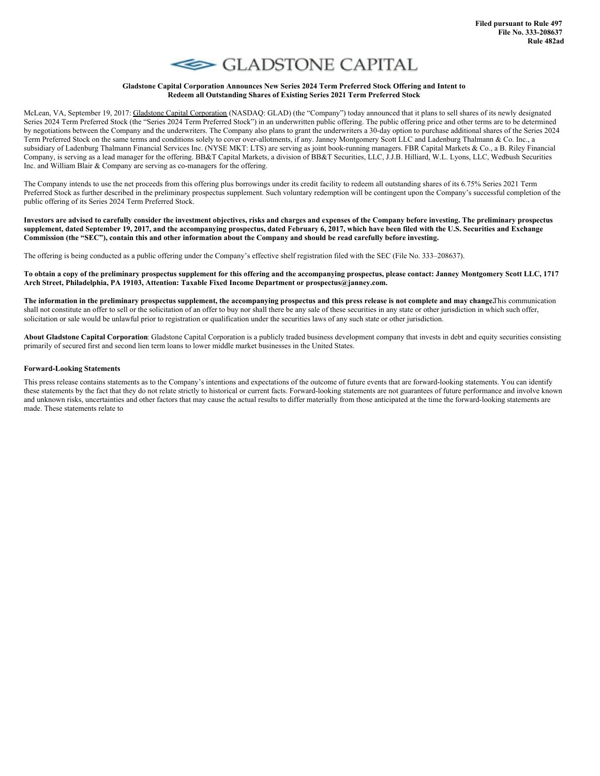

## **Gladstone Capital Corporation Announces New Series 2024 Term Preferred Stock Offering and Intent to Redeem all Outstanding Shares of Existing Series 2021 Term Preferred Stock**

McLean, VA, September 19, 2017: Gladstone Capital Corporation (NASDAQ: GLAD) (the "Company") today announced that it plans to sell shares of its newly designated Series 2024 Term Preferred Stock (the "Series 2024 Term Preferred Stock") in an underwritten public offering. The public offering price and other terms are to be determined by negotiations between the Company and the underwriters. The Company also plans to grant the underwriters a 30-day option to purchase additional shares of the Series 2024 Term Preferred Stock on the same terms and conditions solely to cover over-allotments, if any. Janney Montgomery Scott LLC and Ladenburg Thalmann & Co. Inc., a subsidiary of Ladenburg Thalmann Financial Services Inc. (NYSE MKT: LTS) are serving as joint book-running managers. FBR Capital Markets & Co., a B. Riley Financial Company, is serving as a lead manager for the offering. BB&T Capital Markets, a division of BB&T Securities, LLC, J.J.B. Hilliard, W.L. Lyons, LLC, Wedbush Securities Inc. and William Blair & Company are serving as co-managers for the offering.

The Company intends to use the net proceeds from this offering plus borrowings under its credit facility to redeem all outstanding shares of its 6.75% Series 2021 Term Preferred Stock as further described in the preliminary prospectus supplement. Such voluntary redemption will be contingent upon the Company's successful completion of the public offering of its Series 2024 Term Preferred Stock.

Investors are advised to carefully consider the investment objectives, risks and charges and expenses of the Company before investing. The preliminary prospectus supplement, dated September 19, 2017, and the accompanying prospectus, dated February 6, 2017, which have been filed with the U.S. Securities and Exchange Commission (the "SEC"), contain this and other information about the Company and should be read carefully before investing.

The offering is being conducted as a public offering under the Company's effective shelf registration filed with the SEC (File No. 333–208637).

To obtain a copy of the preliminary prospectus supplement for this offering and the accompanying prospectus, please contact: Janney Montgomery Scott LLC, 1717 **Arch Street, Philadelphia, PA 19103, Attention: Taxable Fixed Income Department or prospectus@janney.com.**

The information in the preliminary prospectus supplement, the accompanying prospectus and this press release is not complete and may change. This communication shall not constitute an offer to sell or the solicitation of an offer to buy nor shall there be any sale of these securities in any state or other jurisdiction in which such offer, solicitation or sale would be unlawful prior to registration or qualification under the securities laws of any such state or other jurisdiction.

**About Gladstone Capital Corporation**: Gladstone Capital Corporation is a publicly traded business development company that invests in debt and equity securities consisting primarily of secured first and second lien term loans to lower middle market businesses in the United States.

## **Forward-Looking Statements**

This press release contains statements as to the Company's intentions and expectations of the outcome of future events that are forward-looking statements. You can identify these statements by the fact that they do not relate strictly to historical or current facts. Forward-looking statements are not guarantees of future performance and involve known and unknown risks, uncertainties and other factors that may cause the actual results to differ materially from those anticipated at the time the forward-looking statements are made. These statements relate to